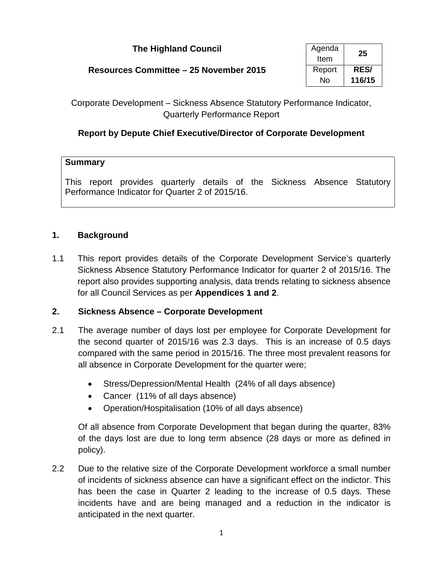| <b>The Highland Council</b>            | Agenda<br>Item | 25                    |
|----------------------------------------|----------------|-----------------------|
| Resources Committee - 25 November 2015 | Report<br>No   | <b>RES/</b><br>116/15 |

Corporate Development – Sickness Absence Statutory Performance Indicator, Quarterly Performance Report

# **Report by Depute Chief Executive/Director of Corporate Development**

#### **Summary**

This report provides quarterly details of the Sickness Absence Statutory Performance Indicator for Quarter 2 of 2015/16.

#### **1. Background**

1.1 This report provides details of the Corporate Development Service's quarterly Sickness Absence Statutory Performance Indicator for quarter 2 of 2015/16. The report also provides supporting analysis, data trends relating to sickness absence for all Council Services as per **Appendices 1 and 2**.

#### **2. Sickness Absence – Corporate Development**

- 2.1 The average number of days lost per employee for Corporate Development for the second quarter of 2015/16 was 2.3 days. This is an increase of 0.5 days compared with the same period in 2015/16. The three most prevalent reasons for all absence in Corporate Development for the quarter were;
	- Stress/Depression/Mental Health (24% of all days absence)
	- Cancer (11% of all days absence)
	- Operation/Hospitalisation (10% of all days absence)

Of all absence from Corporate Development that began during the quarter, 83% of the days lost are due to long term absence (28 days or more as defined in policy).

2.2 Due to the relative size of the Corporate Development workforce a small number of incidents of sickness absence can have a significant effect on the indictor. This has been the case in Quarter 2 leading to the increase of 0.5 days. These incidents have and are being managed and a reduction in the indicator is anticipated in the next quarter.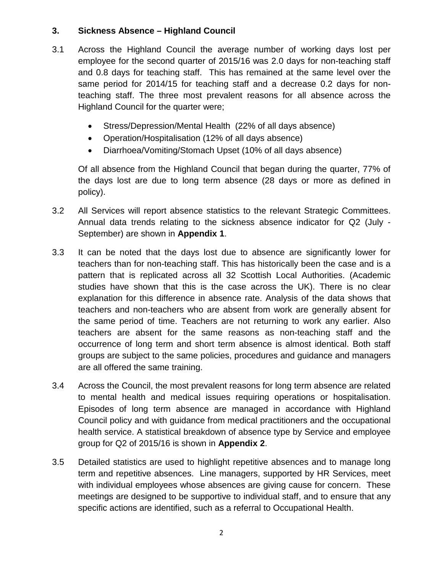## **3. Sickness Absence – Highland Council**

- 3.1 Across the Highland Council the average number of working days lost per employee for the second quarter of 2015/16 was 2.0 days for non-teaching staff and 0.8 days for teaching staff. This has remained at the same level over the same period for 2014/15 for teaching staff and a decrease 0.2 days for nonteaching staff. The three most prevalent reasons for all absence across the Highland Council for the quarter were;
	- Stress/Depression/Mental Health (22% of all days absence)
	- Operation/Hospitalisation (12% of all days absence)
	- Diarrhoea/Vomiting/Stomach Upset (10% of all days absence)

Of all absence from the Highland Council that began during the quarter, 77% of the days lost are due to long term absence (28 days or more as defined in policy).

- 3.2 All Services will report absence statistics to the relevant Strategic Committees. Annual data trends relating to the sickness absence indicator for Q2 (July - September) are shown in **Appendix 1**.
- 3.3 It can be noted that the days lost due to absence are significantly lower for teachers than for non-teaching staff. This has historically been the case and is a pattern that is replicated across all 32 Scottish Local Authorities. (Academic studies have shown that this is the case across the UK). There is no clear explanation for this difference in absence rate. Analysis of the data shows that teachers and non-teachers who are absent from work are generally absent for the same period of time. Teachers are not returning to work any earlier. Also teachers are absent for the same reasons as non-teaching staff and the occurrence of long term and short term absence is almost identical. Both staff groups are subject to the same policies, procedures and guidance and managers are all offered the same training.
- 3.4 Across the Council, the most prevalent reasons for long term absence are related to mental health and medical issues requiring operations or hospitalisation. Episodes of long term absence are managed in accordance with Highland Council policy and with guidance from medical practitioners and the occupational health service. A statistical breakdown of absence type by Service and employee group for Q2 of 2015/16 is shown in **Appendix 2**.
- 3.5 Detailed statistics are used to highlight repetitive absences and to manage long term and repetitive absences. Line managers, supported by HR Services, meet with individual employees whose absences are giving cause for concern. These meetings are designed to be supportive to individual staff, and to ensure that any specific actions are identified, such as a referral to Occupational Health.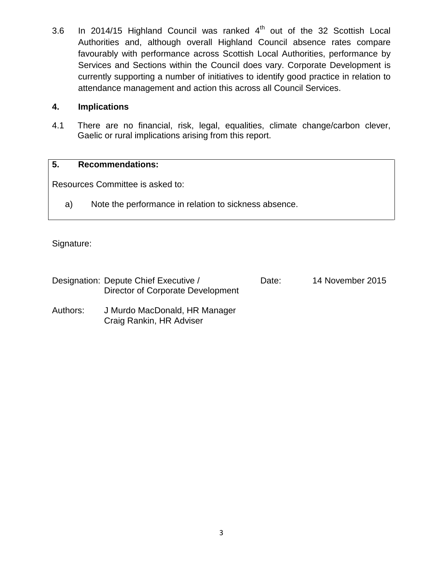3.6 In 2014/15 Highland Council was ranked  $4<sup>th</sup>$  out of the 32 Scottish Local Authorities and, although overall Highland Council absence rates compare favourably with performance across Scottish Local Authorities, performance by Services and Sections within the Council does vary. Corporate Development is currently supporting a number of initiatives to identify good practice in relation to attendance management and action this across all Council Services.

#### **4. Implications**

4.1 There are no financial, risk, legal, equalities, climate change/carbon clever, Gaelic or rural implications arising from this report.

#### **5. Recommendations:**

Resources Committee is asked to:

a) Note the performance in relation to sickness absence.

Signature:

| Designation: Depute Chief Executive / | Date: | 14 November 2015 |
|---------------------------------------|-------|------------------|
| Director of Corporate Development     |       |                  |
|                                       |       |                  |

Authors: J Murdo MacDonald, HR Manager Craig Rankin, HR Adviser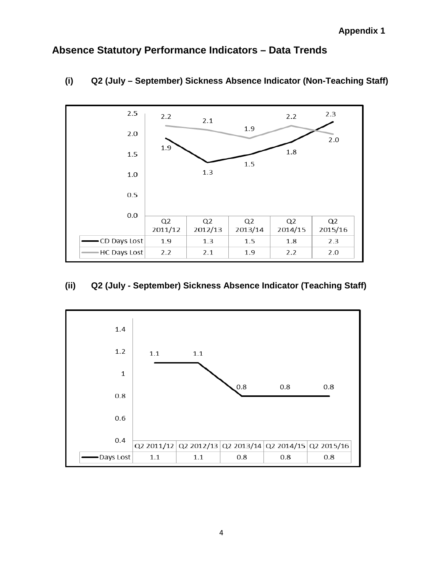# **Absence Statutory Performance Indicators – Data Trends**



# **(i) Q2 (July – September) Sickness Absence Indicator (Non-Teaching Staff)**

# **(ii) Q2 (July - September) Sickness Absence Indicator (Teaching Staff)**